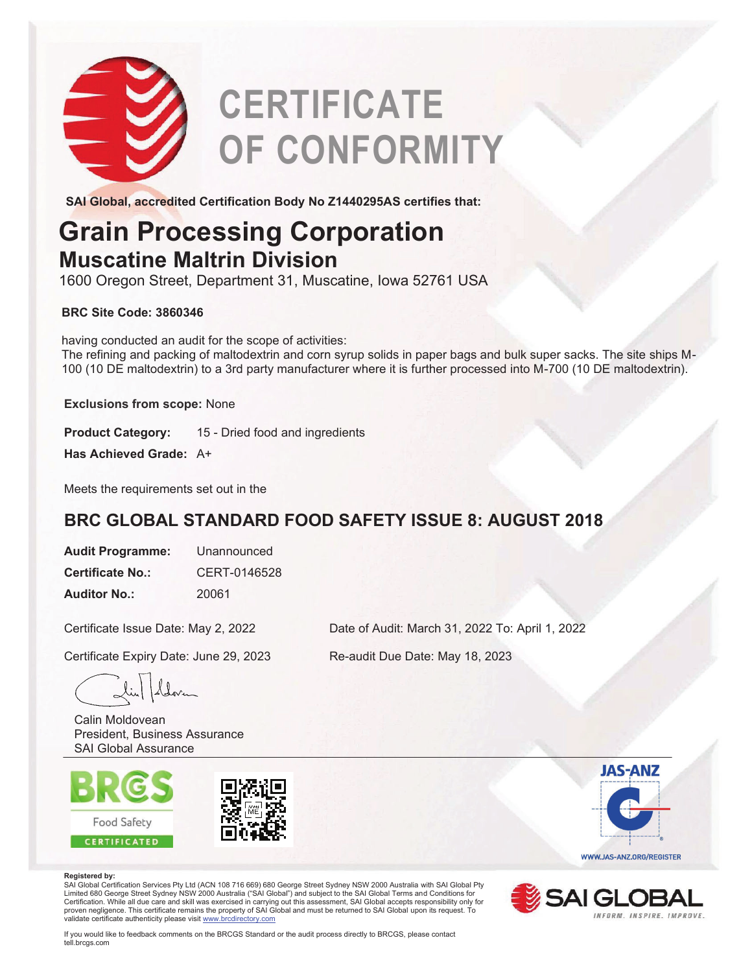

# **CERTIFICATE OF CONFORMITY**

**SAI Global, accredited Certification Body No Z1440295AS certifies that:**

## **Grain Processing Corporation Muscatine Maltrin Division**

1600 Oregon Street, Department 31, Muscatine, Iowa 52761 USA

### **BRC Site Code: 3860346**

having conducted an audit for the scope of activities: The refining and packing of maltodextrin and corn syrup solids in paper bags and bulk super sacks. The site ships M-100 (10 DE maltodextrin) to a 3rd party manufacturer where it is further processed into M-700 (10 DE maltodextrin).

**Exclusions from scope:** None

**Product Category:** 15 - Dried food and ingredients

**Has Achieved Grade:** A+

Meets the requirements set out in the

### **BRC GLOBAL STANDARD FOOD SAFETY ISSUE 8: AUGUST 2018**

**Audit Programme:** Unannounced **Certificate No.:** CERT-0146528 **Auditor No.:** 20061

Certificate Issue Date: May 2, 2022

Certificate Expiry Date: June 29, 2023

Calin Moldovean President, Business Assurance SAI Global Assurance





#### **Registered by:**

SAI Global Certification Services Pty Ltd (ACN 108 716 669) 680 George Street Sydney NSW 2000 Australia with SAI Global Pty<br>Limited 680 George Street Sydney NSW 2000 Australia ("SAI Global") and subject to the SAI Global T Certification. While all due care and skill was exercised in carrying out this assessment, SAI Global accepts responsibility only for proven negligence. This certificate remains the property of SAI Global and must be returned to SAI Global upon its request. To<br>validate certificate authenticity please visit <u>www.brcdirectory.com</u>





If you would like to feedback comments on the BRCGS Standard or the audit process directly to BRCGS, please contact tell.brcgs.com

Date of Audit: March 31, 2022 To: April 1, 2022

Re-audit Due Date: May 18, 2023